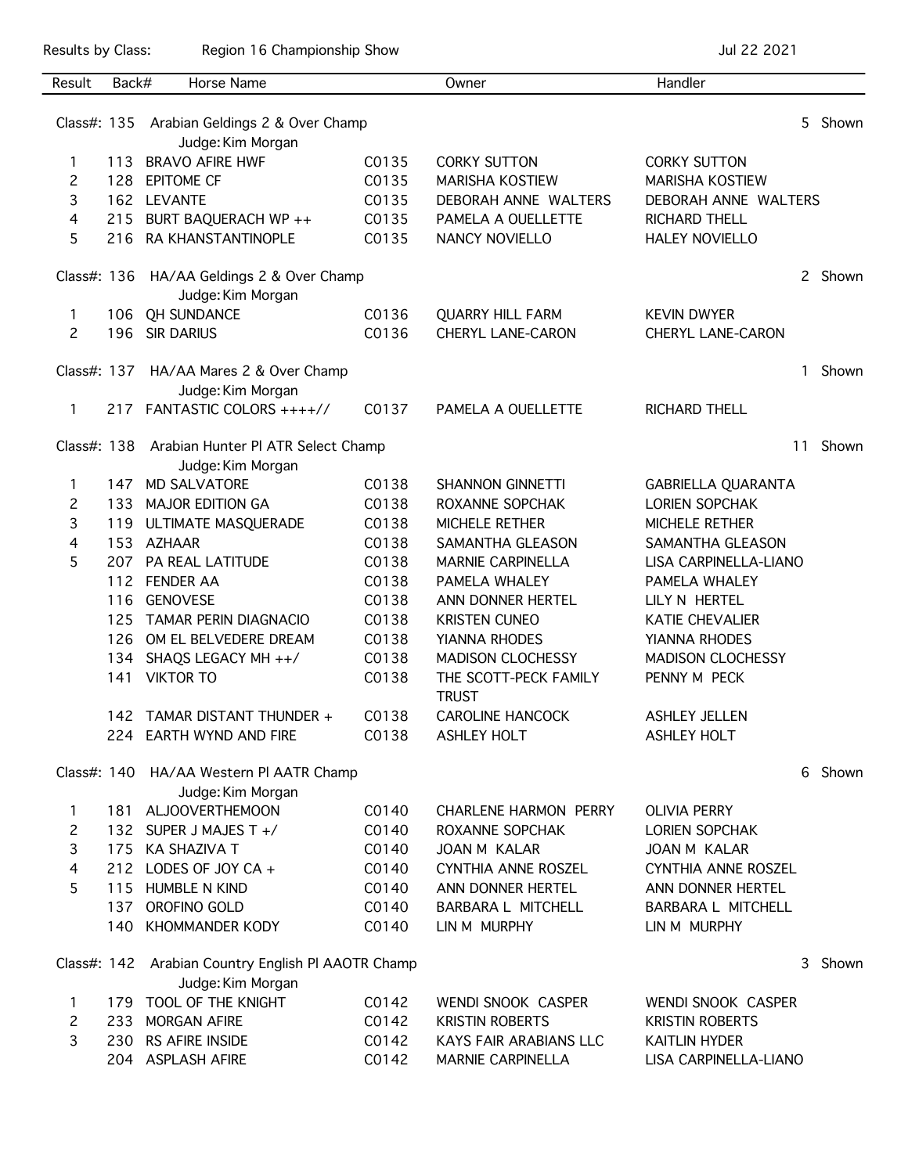Results by Class: Region 16 Championship Show Championship Show Jul 22 2021

| Result                                                                  | Back# | Horse Name                                                   |       | Owner                                 | Handler                   |    |         |
|-------------------------------------------------------------------------|-------|--------------------------------------------------------------|-------|---------------------------------------|---------------------------|----|---------|
|                                                                         |       | Class#: 135 Arabian Geldings 2 & Over Champ                  |       |                                       |                           |    | 5 Shown |
|                                                                         |       | Judge: Kim Morgan                                            |       |                                       |                           |    |         |
| $\mathbf{1}$                                                            | 113   | <b>BRAVO AFIRE HWF</b>                                       | C0135 | <b>CORKY SUTTON</b>                   | <b>CORKY SUTTON</b>       |    |         |
| 2                                                                       |       | 128 EPITOME CF                                               | C0135 | <b>MARISHA KOSTIEW</b>                | <b>MARISHA KOSTIEW</b>    |    |         |
| 3                                                                       |       | 162 LEVANTE                                                  | C0135 | DEBORAH ANNE WALTERS                  | DEBORAH ANNE WALTERS      |    |         |
| 4                                                                       |       | 215 BURT BAQUERACH WP ++                                     | C0135 | PAMELA A OUELLETTE                    | <b>RICHARD THELL</b>      |    |         |
| 5                                                                       |       | 216 RA KHANSTANTINOPLE                                       | C0135 | NANCY NOVIELLO                        | <b>HALEY NOVIELLO</b>     |    |         |
|                                                                         |       | Class#: 136 HA/AA Geldings 2 & Over Champ                    |       |                                       |                           |    | 2 Shown |
|                                                                         |       | Judge: Kim Morgan                                            |       |                                       |                           |    |         |
| $\mathbf{1}$                                                            |       | 106 QH SUNDANCE                                              | C0136 | <b>QUARRY HILL FARM</b>               | <b>KEVIN DWYER</b>        |    |         |
| $\overline{2}$                                                          |       | 196 SIR DARIUS                                               | C0136 | CHERYL LANE-CARON                     | CHERYL LANE-CARON         |    |         |
|                                                                         |       | Class#: 137 HA/AA Mares 2 & Over Champ<br>Judge: Kim Morgan  |       |                                       |                           | 1  | Shown   |
| $\mathbf{1}$                                                            |       | 217 FANTASTIC COLORS ++++//                                  | C0137 | PAMELA A OUELLETTE                    | <b>RICHARD THELL</b>      |    |         |
|                                                                         |       | Class#: 138 Arabian Hunter Pl ATR Select Champ               |       |                                       |                           | 11 | Shown   |
|                                                                         |       | Judge: Kim Morgan                                            |       |                                       |                           |    |         |
| 1.                                                                      |       | 147 MD SALVATORE                                             | C0138 | <b>SHANNON GINNETTI</b>               | <b>GABRIELLA QUARANTA</b> |    |         |
| 2                                                                       |       | 133 MAJOR EDITION GA                                         | C0138 | ROXANNE SOPCHAK                       | <b>LORIEN SOPCHAK</b>     |    |         |
| 3                                                                       |       | 119 ULTIMATE MASQUERADE                                      | C0138 | MICHELE RETHER                        | MICHELE RETHER            |    |         |
| 4                                                                       |       | 153 AZHAAR                                                   | C0138 | SAMANTHA GLEASON                      | SAMANTHA GLEASON          |    |         |
| 5                                                                       |       | 207 PA REAL LATITUDE                                         | C0138 | <b>MARNIE CARPINELLA</b>              | LISA CARPINELLA-LIANO     |    |         |
|                                                                         |       | 112 FENDER AA                                                | C0138 | PAMELA WHALEY                         | PAMELA WHALEY             |    |         |
|                                                                         | 116   | <b>GENOVESE</b>                                              | C0138 | ANN DONNER HERTEL                     | LILY N HERTEL             |    |         |
|                                                                         | 125   | <b>TAMAR PERIN DIAGNACIO</b>                                 | C0138 | <b>KRISTEN CUNEO</b>                  | <b>KATIE CHEVALIER</b>    |    |         |
|                                                                         |       | 126 OM EL BELVEDERE DREAM                                    | C0138 | YIANNA RHODES                         | YIANNA RHODES             |    |         |
|                                                                         |       | 134 SHAQS LEGACY MH ++/                                      | C0138 | <b>MADISON CLOCHESSY</b>              | <b>MADISON CLOCHESSY</b>  |    |         |
|                                                                         |       | 141 VIKTOR TO                                                | C0138 | THE SCOTT-PECK FAMILY<br><b>TRUST</b> | PENNY M PECK              |    |         |
|                                                                         |       | 142 TAMAR DISTANT THUNDER +                                  | C0138 | <b>CAROLINE HANCOCK</b>               | <b>ASHLEY JELLEN</b>      |    |         |
|                                                                         |       | 224 EARTH WYND AND FIRE                                      | C0138 | <b>ASHLEY HOLT</b>                    | <b>ASHLEY HOLT</b>        |    |         |
|                                                                         |       |                                                              |       |                                       |                           |    |         |
|                                                                         |       | Class#: 140 HA/AA Western PI AATR Champ<br>Judge: Kim Morgan |       |                                       |                           | 6  | Shown   |
| 1                                                                       | 181   | ALJOOVERTHEMOON                                              | C0140 | <b>CHARLENE HARMON PERRY</b>          | <b>OLIVIA PERRY</b>       |    |         |
| 2                                                                       |       | 132 SUPER J MAJES T +/                                       | C0140 | ROXANNE SOPCHAK                       | <b>LORIEN SOPCHAK</b>     |    |         |
| 3                                                                       |       | 175 KA SHAZIVA T                                             | C0140 | JOAN M KALAR                          | JOAN M KALAR              |    |         |
| $\overline{4}$                                                          |       | 212 LODES OF JOY CA +                                        | C0140 | CYNTHIA ANNE ROSZEL                   | CYNTHIA ANNE ROSZEL       |    |         |
| 5                                                                       |       | 115 HUMBLE N KIND                                            | C0140 | ANN DONNER HERTEL                     | ANN DONNER HERTEL         |    |         |
|                                                                         | 137   | OROFINO GOLD                                                 | C0140 | BARBARA L MITCHELL                    | BARBARA L MITCHELL        |    |         |
|                                                                         |       | 140 KHOMMANDER KODY                                          | C0140 | LIN M MURPHY                          | LIN M MURPHY              |    |         |
| Class#: 142 Arabian Country English PI AAOTR Champ<br>Judge: Kim Morgan |       |                                                              |       |                                       |                           | 3  | Shown   |
| 1.                                                                      |       | 179 TOOL OF THE KNIGHT                                       | C0142 | WENDI SNOOK CASPER                    | WENDI SNOOK CASPER        |    |         |
| $\mathsf{2}$                                                            | 233   | MORGAN AFIRE                                                 | C0142 | <b>KRISTIN ROBERTS</b>                | <b>KRISTIN ROBERTS</b>    |    |         |
| 3                                                                       |       | 230 RS AFIRE INSIDE                                          | C0142 | <b>KAYS FAIR ARABIANS LLC</b>         | <b>KAITLIN HYDER</b>      |    |         |
|                                                                         |       | 204 ASPLASH AFIRE                                            | C0142 | <b>MARNIE CARPINELLA</b>              | LISA CARPINELLA-LIANO     |    |         |